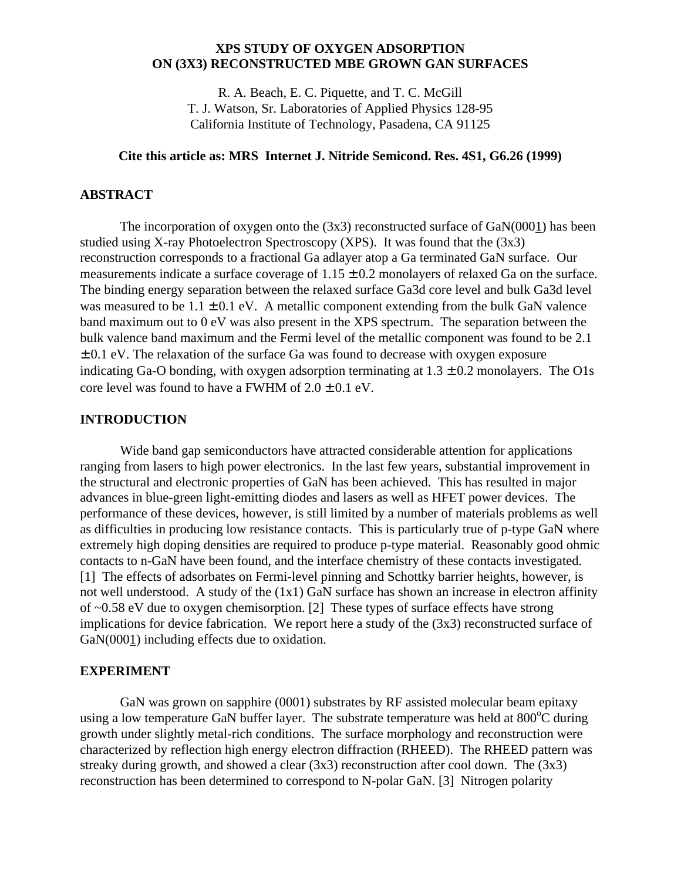# **XPS STUDY OF OXYGEN ADSORPTION ON (3X3) RECONSTRUCTED MBE GROWN GAN SURFACES**

R. A. Beach, E. C. Piquette, and T. C. McGill T. J. Watson, Sr. Laboratories of Applied Physics 128-95 California Institute of Technology, Pasadena, CA 91125

## **Cite this article as: MRS Internet J. Nitride Semicond. Res. 4S1, G6.26 (1999)**

### **ABSTRACT**

The incorporation of oxygen onto the  $(3x3)$  reconstructed surface of  $GaN(0001)$  has been studied using X-ray Photoelectron Spectroscopy (XPS). It was found that the (3x3) reconstruction corresponds to a fractional Ga adlayer atop a Ga terminated GaN surface. Our measurements indicate a surface coverage of  $1.15 \pm 0.2$  monolayers of relaxed Ga on the surface. The binding energy separation between the relaxed surface Ga3d core level and bulk Ga3d level was measured to be  $1.1 \pm 0.1$  eV. A metallic component extending from the bulk GaN valence band maximum out to 0 eV was also present in the XPS spectrum. The separation between the bulk valence band maximum and the Fermi level of the metallic component was found to be 2.1  $\pm$  0.1 eV. The relaxation of the surface Ga was found to decrease with oxygen exposure indicating Ga-O bonding, with oxygen adsorption terminating at  $1.3 \pm 0.2$  monolayers. The O1s core level was found to have a FWHM of  $2.0 \pm 0.1$  eV.

### **INTRODUCTION**

Wide band gap semiconductors have attracted considerable attention for applications ranging from lasers to high power electronics. In the last few years, substantial improvement in the structural and electronic properties of GaN has been achieved. This has resulted in major advances in blue-green light-emitting diodes and lasers as well as HFET power devices. The performance of these devices, however, is still limited by a number of materials problems as well as difficulties in producing low resistance contacts. This is particularly true of p-type GaN where extremely high doping densities are required to produce p-type material. Reasonably good ohmic contacts to n-GaN have been found, and the interface chemistry of these contacts investigated. [1] The effects of adsorbates on Fermi-level pinning and Schottky barrier heights, however, is not well understood. A study of the (1x1) GaN surface has shown an increase in electron affinity of ~0.58 eV due to oxygen chemisorption. [2] These types of surface effects have strong implications for device fabrication. We report here a study of the (3x3) reconstructed surface of GaN(0001) including effects due to oxidation.

#### **EXPERIMENT**

GaN was grown on sapphire (0001) substrates by RF assisted molecular beam epitaxy using a low temperature GaN buffer layer. The substrate temperature was held at  $800^{\circ}$ C during growth under slightly metal-rich conditions. The surface morphology and reconstruction were characterized by reflection high energy electron diffraction (RHEED). The RHEED pattern was streaky during growth, and showed a clear  $(3x3)$  reconstruction after cool down. The  $(3x3)$ reconstruction has been determined to correspond to N-polar GaN. [3] Nitrogen polarity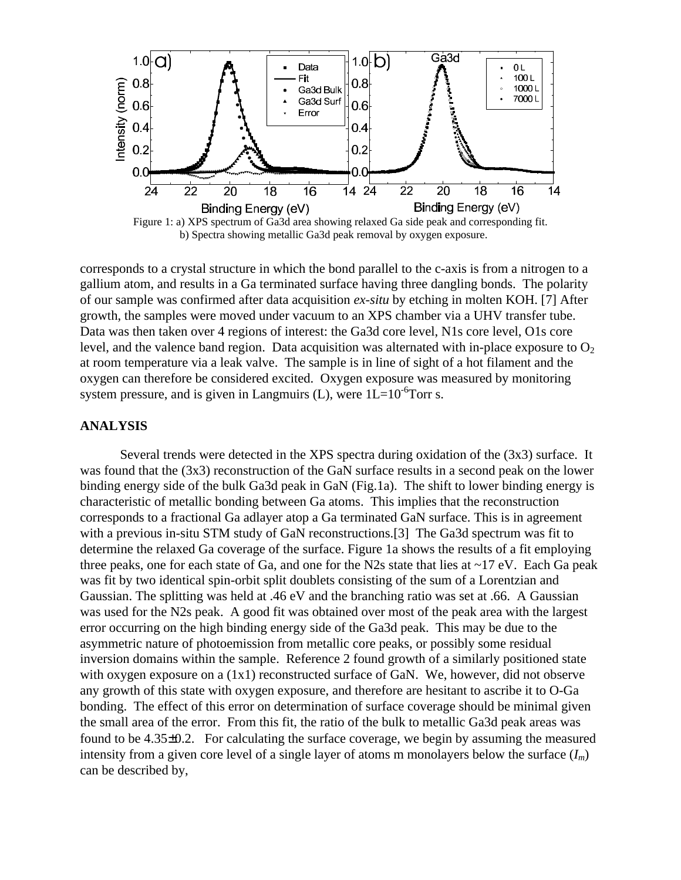

Figure 1: a) XPS spectrum of Ga3d area showing relaxed Ga side peak and corresponding fit. b) Spectra showing metallic Ga3d peak removal by oxygen exposure.

corresponds to a crystal structure in which the bond parallel to the c-axis is from a nitrogen to a gallium atom, and results in a Ga terminated surface having three dangling bonds. The polarity of our sample was confirmed after data acquisition *ex-situ* by etching in molten KOH. [7] After growth, the samples were moved under vacuum to an XPS chamber via a UHV transfer tube. Data was then taken over 4 regions of interest: the Ga3d core level, N1s core level, O1s core level, and the valence band region. Data acquisition was alternated with in-place exposure to  $O<sub>2</sub>$ at room temperature via a leak valve. The sample is in line of sight of a hot filament and the oxygen can therefore be considered excited. Oxygen exposure was measured by monitoring system pressure, and is given in Langmuirs (L), were  $1L=10^{-6}$ Torr s.

### **ANALYSIS**

Several trends were detected in the XPS spectra during oxidation of the (3x3) surface. It was found that the (3x3) reconstruction of the GaN surface results in a second peak on the lower binding energy side of the bulk Ga3d peak in GaN (Fig.1a). The shift to lower binding energy is characteristic of metallic bonding between Ga atoms. This implies that the reconstruction corresponds to a fractional Ga adlayer atop a Ga terminated GaN surface. This is in agreement with a previous in-situ STM study of GaN reconstructions.<sup>[3]</sup> The Ga3d spectrum was fit to determine the relaxed Ga coverage of the surface. Figure 1a shows the results of a fit employing three peaks, one for each state of Ga, and one for the N2s state that lies at ~17 eV. Each Ga peak was fit by two identical spin-orbit split doublets consisting of the sum of a Lorentzian and Gaussian. The splitting was held at .46 eV and the branching ratio was set at .66. A Gaussian was used for the N2s peak. A good fit was obtained over most of the peak area with the largest error occurring on the high binding energy side of the Ga3d peak. This may be due to the asymmetric nature of photoemission from metallic core peaks, or possibly some residual inversion domains within the sample. Reference 2 found growth of a similarly positioned state with oxygen exposure on a (1x1) reconstructed surface of GaN. We, however, did not observe any growth of this state with oxygen exposure, and therefore are hesitant to ascribe it to O-Ga bonding. The effect of this error on determination of surface coverage should be minimal given the small area of the error. From this fit, the ratio of the bulk to metallic Ga3d peak areas was found to be 4.35±0.2. For calculating the surface coverage, we begin by assuming the measured intensity from a given core level of a single layer of atoms m monolayers below the surface  $(I_m)$ can be described by,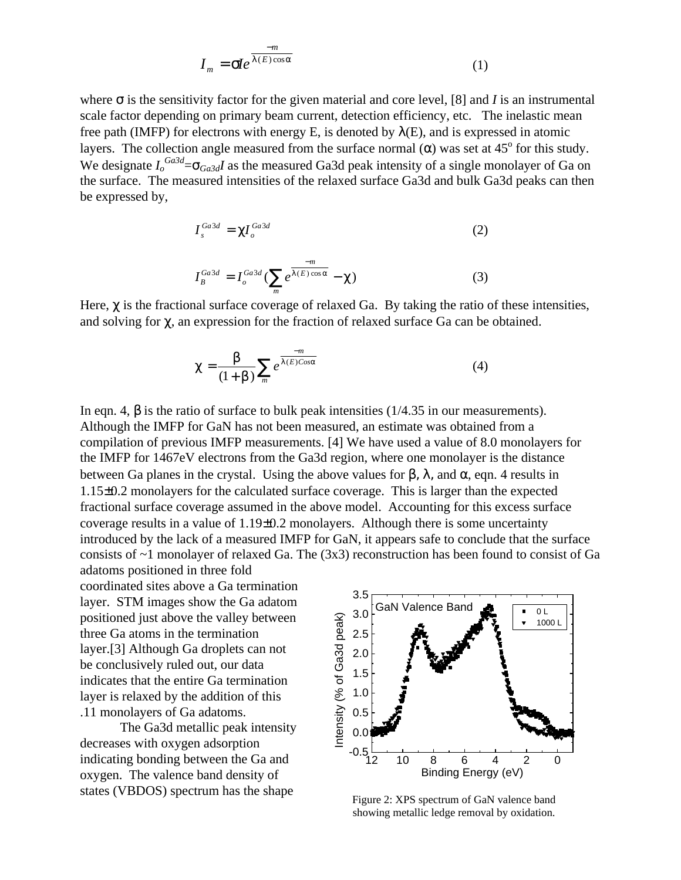$$
I_m = \mathbf{S} e^{\frac{-m}{I(E)\cos a}}
$$
 (1)

where  $\sigma$  is the sensitivity factor for the given material and core level, [8] and *I* is an instrumental scale factor depending on primary beam current, detection efficiency, etc. The inelastic mean free path (IMFP) for electrons with energy E, is denoted by  $\lambda(E)$ , and is expressed in atomic layers. The collection angle measured from the surface normal  $(\alpha)$  was set at 45<sup>°</sup> for this study. We designate  $I_o^{Ga3d} = \mathbf{S}_{Ga3d}I$  as the measured Ga3d peak intensity of a single monolayer of Ga on the surface. The measured intensities of the relaxed surface Ga3d and bulk Ga3d peaks can then be expressed by,

$$
I_s^{Ga3d} = \mathbf{C} I_o^{Ga3d} \tag{2}
$$

$$
I_B^{Ga3d} = I_o^{Ga3d} \left( \sum_m e^{\frac{-m}{I(E)\cos \mathbf{a}}} - \mathbf{C} \right)
$$
 (3)

Here, *c* is the fractional surface coverage of relaxed Ga. By taking the ratio of these intensities, and solving for *c*, an expression for the fraction of relaxed surface Ga can be obtained.

$$
c = \frac{b}{(1+b)} \sum_{m} e^{\frac{-m}{I(E)Cosa}}
$$
(4)

In eqn. 4,  $\boldsymbol{b}$  is the ratio of surface to bulk peak intensities ( $1/4.35$  in our measurements). Although the IMFP for GaN has not been measured, an estimate was obtained from a compilation of previous IMFP measurements. [4] We have used a value of 8.0 monolayers for the IMFP for 1467eV electrons from the Ga3d region, where one monolayer is the distance between Ga planes in the crystal. Using the above values for  $\beta$ ,  $\lambda$ , and  $\alpha$ , eqn. 4 results in 1.15±0.2 monolayers for the calculated surface coverage. This is larger than the expected fractional surface coverage assumed in the above model. Accounting for this excess surface coverage results in a value of  $1.19\pm0.2$  monolayers. Although there is some uncertainty introduced by the lack of a measured IMFP for GaN, it appears safe to conclude that the surface consists of  $\sim$ 1 monolayer of relaxed Ga. The (3x3) reconstruction has been found to consist of Ga

adatoms positioned in three fold coordinated sites above a Ga termination layer. STM images show the Ga adatom positioned just above the valley between three Ga atoms in the termination layer.[3] Although Ga droplets can not be conclusively ruled out, our data indicates that the entire Ga termination layer is relaxed by the addition of this .11 monolayers of Ga adatoms.

The Ga3d metallic peak intensity decreases with oxygen adsorption indicating bonding between the Ga and oxygen. The valence band density of states (VBDOS) spectrum has the shape



Figure 2: XPS spectrum of GaN valence band showing metallic ledge removal by oxidation.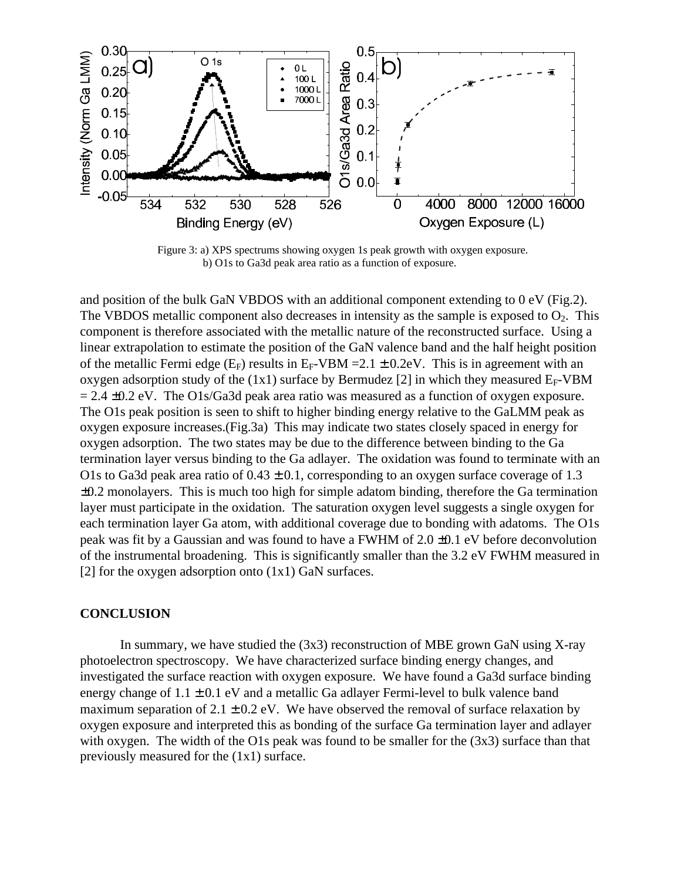

Figure 3: a) XPS spectrums showing oxygen 1s peak growth with oxygen exposure. b) O1s to Ga3d peak area ratio as a function of exposure.

and position of the bulk GaN VBDOS with an additional component extending to 0 eV (Fig.2). The VBDOS metallic component also decreases in intensity as the sample is exposed to  $O<sub>2</sub>$ . This component is therefore associated with the metallic nature of the reconstructed surface. Using a linear extrapolation to estimate the position of the GaN valence band and the half height position of the metallic Fermi edge (E<sub>F</sub>) results in E<sub>F</sub>-VBM = 2.1  $\pm$  0.2eV. This is in agreement with an oxygen adsorption study of the  $(1x1)$  surface by Bermudez [2] in which they measured  $E_F-VBM$  $= 2.4 \pm 0.2$  eV. The O1s/Ga3d peak area ratio was measured as a function of oxygen exposure. The O1s peak position is seen to shift to higher binding energy relative to the GaLMM peak as oxygen exposure increases.(Fig.3a) This may indicate two states closely spaced in energy for oxygen adsorption. The two states may be due to the difference between binding to the Ga termination layer versus binding to the Ga adlayer. The oxidation was found to terminate with an O1s to Ga3d peak area ratio of  $0.43 \pm 0.1$ , corresponding to an oxygen surface coverage of 1.3  $\pm 0.2$  monolayers. This is much too high for simple adatom binding, therefore the Ga termination layer must participate in the oxidation. The saturation oxygen level suggests a single oxygen for each termination layer Ga atom, with additional coverage due to bonding with adatoms. The O1s peak was fit by a Gaussian and was found to have a FWHM of 2.0 ±0.1 eV before deconvolution of the instrumental broadening. This is significantly smaller than the 3.2 eV FWHM measured in [2] for the oxygen adsorption onto  $(1x1)$  GaN surfaces.

## **CONCLUSION**

In summary, we have studied the (3x3) reconstruction of MBE grown GaN using X-ray photoelectron spectroscopy. We have characterized surface binding energy changes, and investigated the surface reaction with oxygen exposure. We have found a Ga3d surface binding energy change of  $1.1 \pm 0.1$  eV and a metallic Ga adlayer Fermi-level to bulk valence band maximum separation of  $2.1 \pm 0.2$  eV. We have observed the removal of surface relaxation by oxygen exposure and interpreted this as bonding of the surface Ga termination layer and adlayer with oxygen. The width of the O1s peak was found to be smaller for the  $(3x3)$  surface than that previously measured for the (1x1) surface.